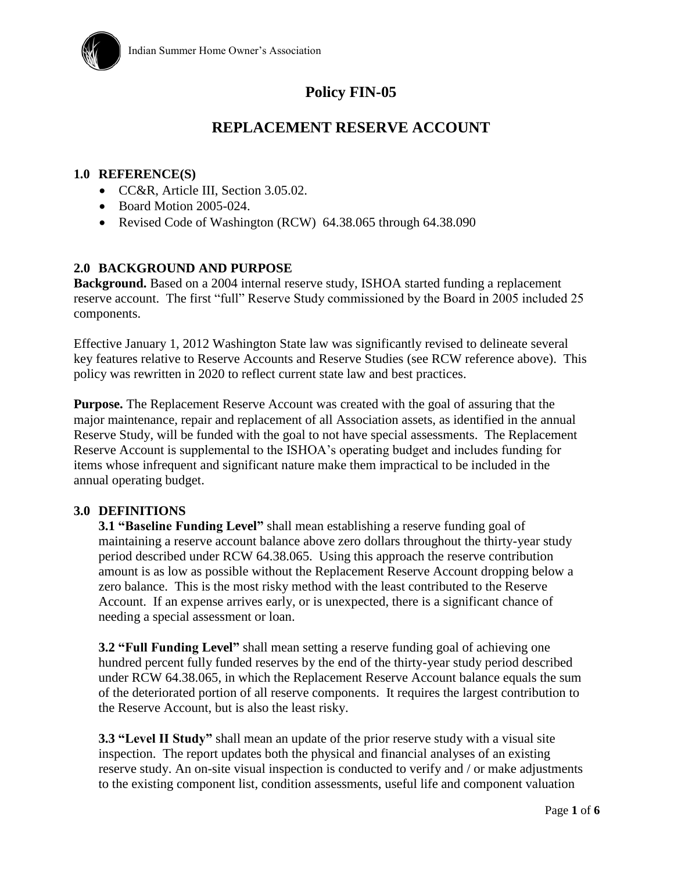

# **Policy FIN-05**

# **REPLACEMENT RESERVE ACCOUNT**

#### **1.0 REFERENCE(S)**

- CC&R, Article III, Section 3.05.02.
- $\bullet$  Board Motion 2005-024.
- Revised Code of Washington (RCW) 64.38.065 through 64.38.090

#### **2.0 BACKGROUND AND PURPOSE**

**Background.** Based on a 2004 internal reserve study, ISHOA started funding a replacement reserve account. The first "full" Reserve Study commissioned by the Board in 2005 included 25 components.

Effective January 1, 2012 Washington State law was significantly revised to delineate several key features relative to Reserve Accounts and Reserve Studies (see RCW reference above). This policy was rewritten in 2020 to reflect current state law and best practices.

**Purpose.** The Replacement Reserve Account was created with the goal of assuring that the major maintenance, repair and replacement of all Association assets, as identified in the annual Reserve Study, will be funded with the goal to not have special assessments. The Replacement Reserve Account is supplemental to the ISHOA's operating budget and includes funding for items whose infrequent and significant nature make them impractical to be included in the annual operating budget.

#### **3.0 DEFINITIONS**

**3.1 "Baseline Funding Level"** shall mean establishing a reserve funding goal of maintaining a reserve account balance above zero dollars throughout the thirty-year study period described under RCW [64.38.065.](http://app.leg.wa.gov/RCW/default.aspx?cite=64.38.065) Using this approach the reserve contribution amount is as low as possible without the Replacement Reserve Account dropping below a zero balance. This is the most risky method with the least contributed to the Reserve Account. If an expense arrives early, or is unexpected, there is a significant chance of needing a special assessment or loan.

**3.2 "Full Funding Level"** shall mean setting a reserve funding goal of achieving one hundred percent fully funded reserves by the end of the thirty-year study period described under RCW [64.38.065,](http://app.leg.wa.gov/RCW/default.aspx?cite=64.38.065) in which the Replacement Reserve Account balance equals the sum of the deteriorated portion of all reserve components. It requires the largest contribution to the Reserve Account, but is also the least risky.

**3.3 "Level II Study"** shall mean an update of the prior reserve study with a visual site inspection. The report updates both the physical and financial analyses of an existing reserve study. An on-site visual inspection is conducted to verify and / or make adjustments to the existing component list, condition assessments, useful life and component valuation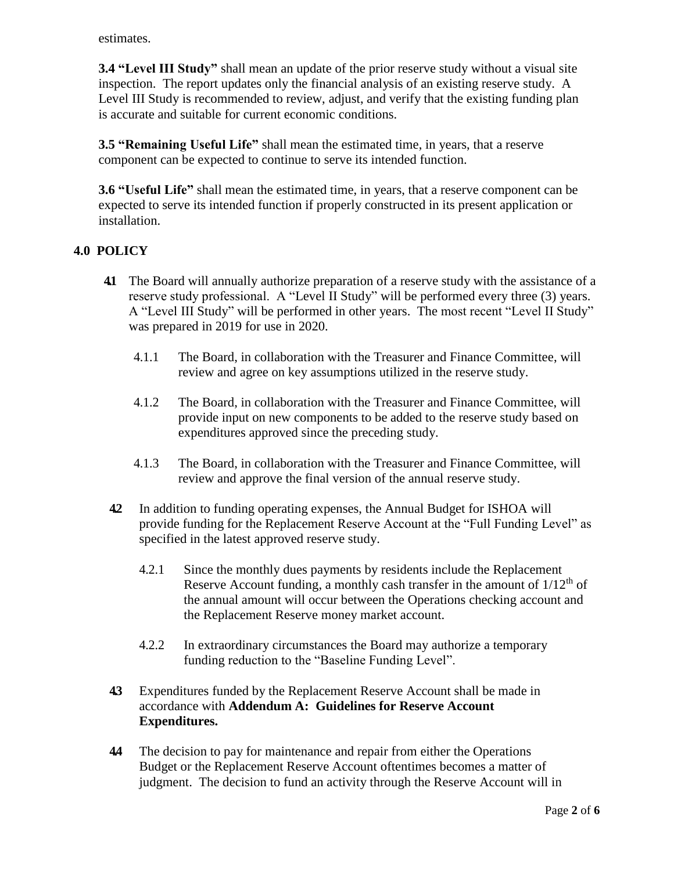estimates.

**3.4 "Level III Study"** shall mean an update of the prior reserve study without a visual site inspection. The report updates only the financial analysis of an existing reserve study. A Level III Study is recommended to review, adjust, and verify that the existing funding plan is accurate and suitable for current economic conditions.

**3.5 "Remaining Useful Life"** shall mean the estimated time, in years, that a reserve component can be expected to continue to serve its intended function.

**3.6 "Useful Life"** shall mean the estimated time, in years, that a reserve component can be expected to serve its intended function if properly constructed in its present application or installation.

### **4.0 POLICY**

- **4.1** The Board will annually authorize preparation of a reserve study with the assistance of a reserve study professional. A "Level II Study" will be performed every three (3) years. A "Level III Study" will be performed in other years. The most recent "Level II Study" was prepared in 2019 for use in 2020.
	- 4.1.1 The Board, in collaboration with the Treasurer and Finance Committee, will review and agree on key assumptions utilized in the reserve study.
	- 4.1.2 The Board, in collaboration with the Treasurer and Finance Committee, will provide input on new components to be added to the reserve study based on expenditures approved since the preceding study.
	- 4.1.3 The Board, in collaboration with the Treasurer and Finance Committee, will review and approve the final version of the annual reserve study.
- **4.2** In addition to funding operating expenses, the Annual Budget for ISHOA will provide funding for the Replacement Reserve Account at the "Full Funding Level" as specified in the latest approved reserve study.
	- 4.2.1 Since the monthly dues payments by residents include the Replacement Reserve Account funding, a monthly cash transfer in the amount of  $1/12<sup>th</sup>$  of the annual amount will occur between the Operations checking account and the Replacement Reserve money market account.
	- 4.2.2 In extraordinary circumstances the Board may authorize a temporary funding reduction to the "Baseline Funding Level".
- **4.3** Expenditures funded by the Replacement Reserve Account shall be made in accordance with **Addendum A: Guidelines for Reserve Account Expenditures.**
- **4.4** The decision to pay for maintenance and repair from either the Operations Budget or the Replacement Reserve Account oftentimes becomes a matter of judgment. The decision to fund an activity through the Reserve Account will in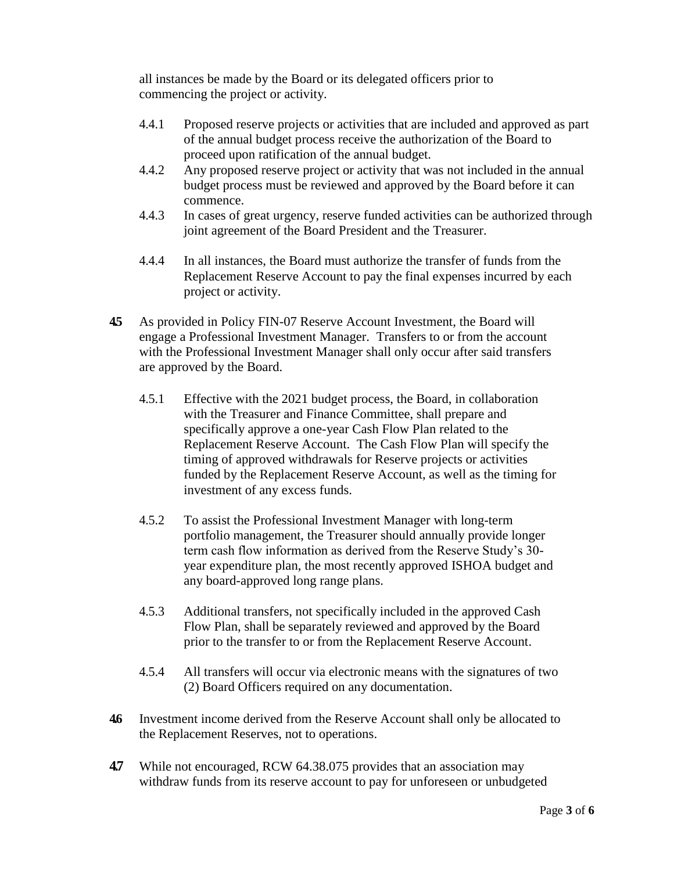all instances be made by the Board or its delegated officers prior to commencing the project or activity.

- 4.4.1 Proposed reserve projects or activities that are included and approved as part of the annual budget process receive the authorization of the Board to proceed upon ratification of the annual budget.
- 4.4.2 Any proposed reserve project or activity that was not included in the annual budget process must be reviewed and approved by the Board before it can commence.
- 4.4.3 In cases of great urgency, reserve funded activities can be authorized through joint agreement of the Board President and the Treasurer.
- 4.4.4 In all instances, the Board must authorize the transfer of funds from the Replacement Reserve Account to pay the final expenses incurred by each project or activity.
- **4.5** As provided in Policy FIN-07 Reserve Account Investment, the Board will engage a Professional Investment Manager. Transfers to or from the account with the Professional Investment Manager shall only occur after said transfers are approved by the Board.
	- 4.5.1 Effective with the 2021 budget process, the Board, in collaboration with the Treasurer and Finance Committee, shall prepare and specifically approve a one-year Cash Flow Plan related to the Replacement Reserve Account. The Cash Flow Plan will specify the timing of approved withdrawals for Reserve projects or activities funded by the Replacement Reserve Account, as well as the timing for investment of any excess funds.
	- 4.5.2 To assist the Professional Investment Manager with long-term portfolio management, the Treasurer should annually provide longer term cash flow information as derived from the Reserve Study's 30 year expenditure plan, the most recently approved ISHOA budget and any board-approved long range plans.
	- 4.5.3 Additional transfers, not specifically included in the approved Cash Flow Plan, shall be separately reviewed and approved by the Board prior to the transfer to or from the Replacement Reserve Account.
	- 4.5.4 All transfers will occur via electronic means with the signatures of two (2) Board Officers required on any documentation.
- **4.6** Investment income derived from the Reserve Account shall only be allocated to the Replacement Reserves, not to operations.
- **4.7** While not encouraged, RCW 64.38.075 provides that an association may withdraw funds from its reserve account to pay for unforeseen or unbudgeted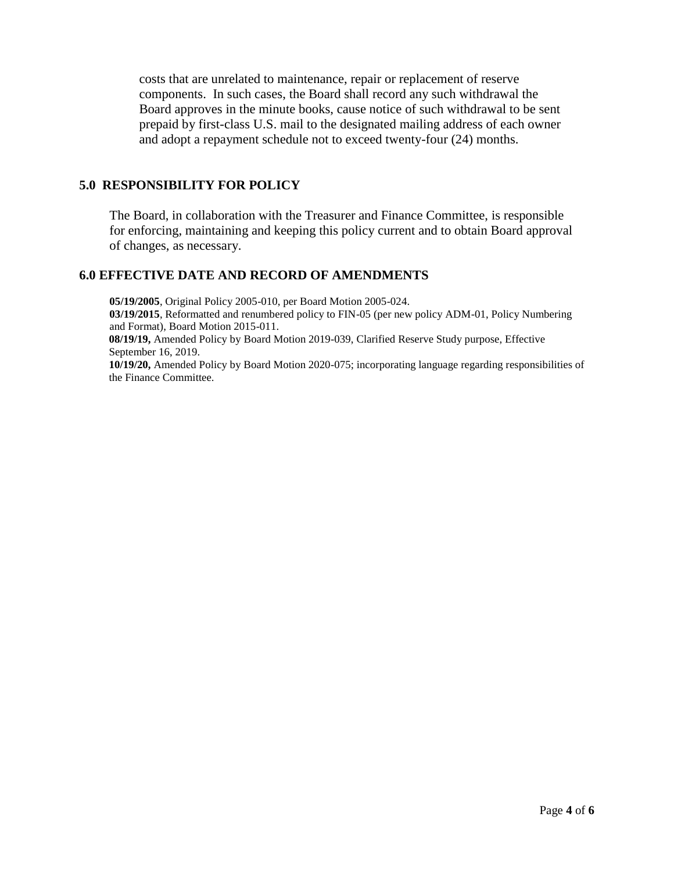costs that are unrelated to maintenance, repair or replacement of reserve components. In such cases, the Board shall record any such withdrawal the Board approves in the minute books, cause notice of such withdrawal to be sent prepaid by first-class U.S. mail to the designated mailing address of each owner and adopt a repayment schedule not to exceed twenty-four (24) months.

#### **5.0 RESPONSIBILITY FOR POLICY**

The Board, in collaboration with the Treasurer and Finance Committee, is responsible for enforcing, maintaining and keeping this policy current and to obtain Board approval of changes, as necessary.

#### **6.0 EFFECTIVE DATE AND RECORD OF AMENDMENTS**

**05/19/2005**, Original Policy 2005-010, per Board Motion 2005-024. **03/19/2015**, Reformatted and renumbered policy to FIN-05 (per new policy ADM-01, Policy Numbering and Format), Board Motion 2015-011. **08/19/19,** Amended Policy by Board Motion 2019-039, Clarified Reserve Study purpose, Effective

September 16, 2019. **10/19/20,** Amended Policy by Board Motion 2020-075; incorporating language regarding responsibilities of the Finance Committee.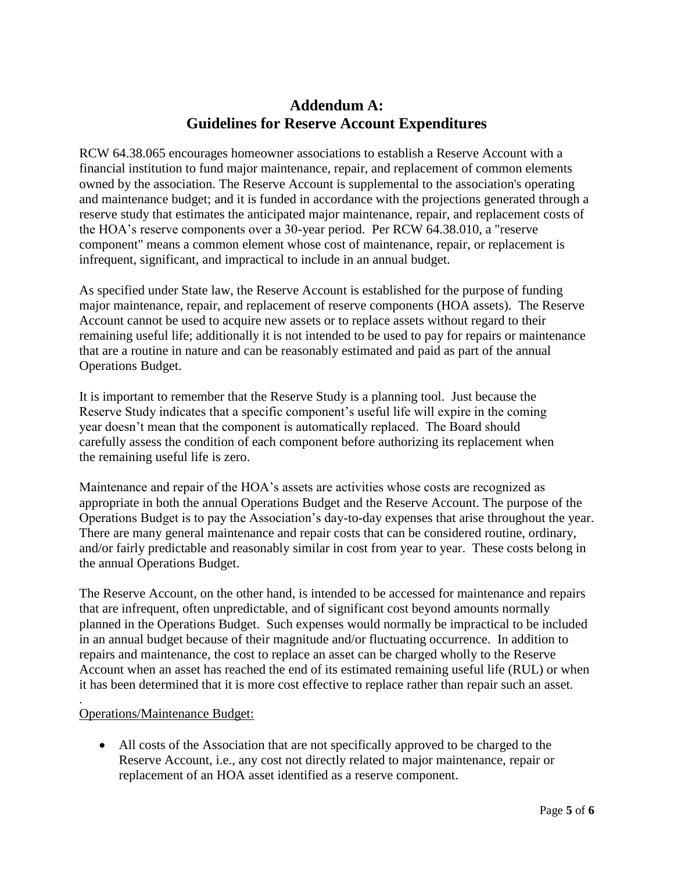## **Addendum A: Guidelines for Reserve Account Expenditures**

RCW 64.38.065 encourages homeowner associations to establish a Reserve Account with a financial institution to fund major maintenance, repair, and replacement of common elements owned by the association. The Reserve Account is supplemental to the association's operating and maintenance budget; and it is funded in accordance with the projections generated through a reserve study that estimates the anticipated major maintenance, repair, and replacement costs of the HOA's reserve components over a 30-year period. Per RCW 64.38.010, a "reserve component" means a common element whose cost of maintenance, repair, or replacement is infrequent, significant, and impractical to include in an annual budget.

As specified under State law, the Reserve Account is established for the purpose of funding major maintenance, repair, and replacement of reserve components (HOA assets). The Reserve Account cannot be used to acquire new assets or to replace assets without regard to their remaining useful life; additionally it is not intended to be used to pay for repairs or maintenance that are a routine in nature and can be reasonably estimated and paid as part of the annual Operations Budget.

It is important to remember that the Reserve Study is a planning tool. Just because the Reserve Study indicates that a specific component's useful life will expire in the coming year doesn't mean that the component is automatically replaced. The Board should carefully assess the condition of each component before authorizing its replacement when the remaining useful life is zero.

Maintenance and repair of the HOA's assets are activities whose costs are recognized as appropriate in both the annual Operations Budget and the Reserve Account. The purpose of the Operations Budget is to pay the Association's day-to-day expenses that arise throughout the year. There are many general maintenance and repair costs that can be considered routine, ordinary, and/or fairly predictable and reasonably similar in cost from year to year. These costs belong in the annual Operations Budget.

The Reserve Account, on the other hand, is intended to be accessed for maintenance and repairs that are infrequent, often unpredictable, and of significant cost beyond amounts normally planned in the Operations Budget. Such expenses would normally be impractical to be included in an annual budget because of their magnitude and/or fluctuating occurrence. In addition to repairs and maintenance, the cost to replace an asset can be charged wholly to the Reserve Account when an asset has reached the end of its estimated remaining useful life (RUL) or when it has been determined that it is more cost effective to replace rather than repair such an asset.

#### Operations/Maintenance Budget:

.

 All costs of the Association that are not specifically approved to be charged to the Reserve Account, i.e., any cost not directly related to major maintenance, repair or replacement of an HOA asset identified as a reserve component.